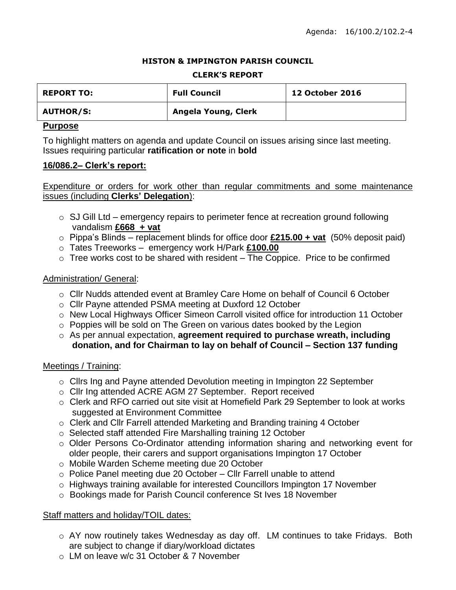#### **HISTON & IMPINGTON PARISH COUNCIL**

#### **CLERK'S REPORT**

| <b>REPORT TO:</b> | <b>Full Council</b> | <b>12 October 2016</b> |
|-------------------|---------------------|------------------------|
| <b>AUTHOR/S:</b>  | Angela Young, Clerk |                        |

#### **Purpose**

To highlight matters on agenda and update Council on issues arising since last meeting. Issues requiring particular **ratification or note** in **bold**

#### **16/086.2– Clerk's report:**

Expenditure or orders for work other than regular commitments and some maintenance issues (including **Clerks' Delegation**):

- $\circ$  SJ Gill Ltd emergency repairs to perimeter fence at recreation ground following vandalism **£668 + vat**
- o Pippa's Blinds replacement blinds for office door **£215.00 + vat** (50% deposit paid)
- o Tates Treeworks emergency work H/Park **£100.00**
- $\circ$  Tree works cost to be shared with resident The Coppice. Price to be confirmed

## Administration/ General:

- o Cllr Nudds attended event at Bramley Care Home on behalf of Council 6 October
- o Cllr Payne attended PSMA meeting at Duxford 12 October
- o New Local Highways Officer Simeon Carroll visited office for introduction 11 October
- o Poppies will be sold on The Green on various dates booked by the Legion
- o As per annual expectation, **agreement required to purchase wreath, including donation, and for Chairman to lay on behalf of Council – Section 137 funding**

## Meetings / Training:

- $\circ$  Cllrs Ing and Payne attended Devolution meeting in Impington 22 September
- o Cllr Ing attended ACRE AGM 27 September. Report received
- o Clerk and RFO carried out site visit at Homefield Park 29 September to look at works suggested at Environment Committee
- o Clerk and Cllr Farrell attended Marketing and Branding training 4 October
- o Selected staff attended Fire Marshalling training 12 October
- o Older Persons Co-Ordinator attending information sharing and networking event for older people, their carers and support organisations Impington 17 October
- o Mobile Warden Scheme meeting due 20 October
- $\circ$  Police Panel meeting due 20 October Cllr Farrell unable to attend
- o Highways training available for interested Councillors Impington 17 November
- o Bookings made for Parish Council conference St Ives 18 November

## Staff matters and holiday/TOIL dates:

- o AY now routinely takes Wednesday as day off. LM continues to take Fridays. Both are subject to change if diary/workload dictates
- o LM on leave w/c 31 October & 7 November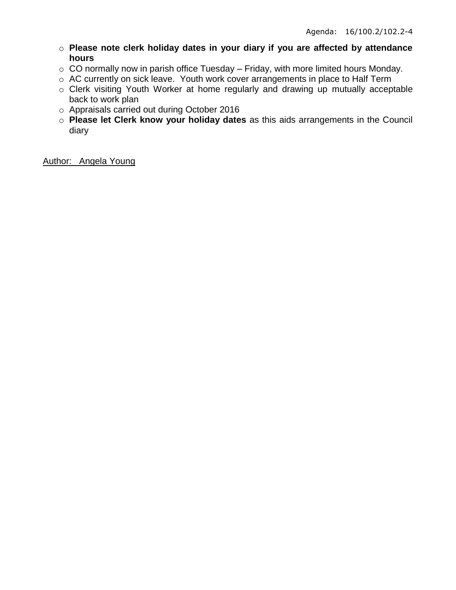- o **Please note clerk holiday dates in your diary if you are affected by attendance hours**
- o CO normally now in parish office Tuesday Friday, with more limited hours Monday.
- o AC currently on sick leave. Youth work cover arrangements in place to Half Term
- o Clerk visiting Youth Worker at home regularly and drawing up mutually acceptable back to work plan
- o Appraisals carried out during October 2016
- o **Please let Clerk know your holiday dates** as this aids arrangements in the Council diary

Author: Angela Young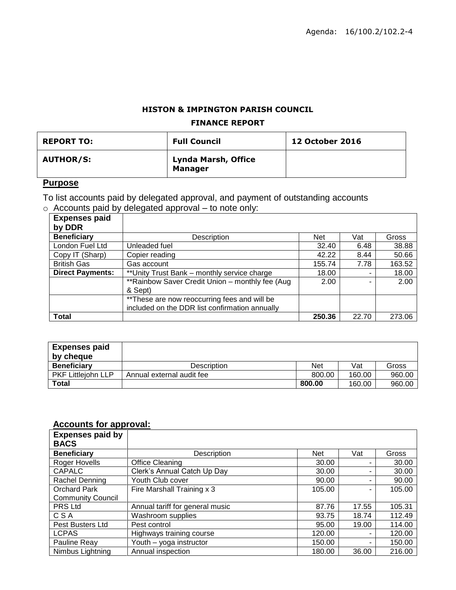## **HISTON & IMPINGTON PARISH COUNCIL**

#### **FINANCE REPORT**

| <b>REPORT TO:</b> | <b>Full Council</b>                          | <b>12 October 2016</b> |
|-------------------|----------------------------------------------|------------------------|
| <b>AUTHOR/S:</b>  | <b>Lynda Marsh, Office</b><br><b>Manager</b> |                        |

# **Purpose**

To list accounts paid by delegated approval, and payment of outstanding accounts

|  |  | $\circ$ Accounts paid by delegated approval – to note only: |
|--|--|-------------------------------------------------------------|
|  |  |                                                             |

| <b>Expenses paid</b>    |                                                  |            |       |        |
|-------------------------|--------------------------------------------------|------------|-------|--------|
| by DDR                  |                                                  |            |       |        |
| <b>Beneficiary</b>      | Description                                      | <b>Net</b> | Vat   | Gross  |
| London Fuel Ltd         | Unleaded fuel                                    | 32.40      | 6.48  | 38.88  |
| Copy IT (Sharp)         | Copier reading                                   | 42.22      | 8.44  | 50.66  |
| <b>British Gas</b>      | Gas account                                      | 155.74     | 7.78  | 163.52 |
| <b>Direct Payments:</b> | ** Unity Trust Bank - monthly service charge     | 18.00      | -     | 18.00  |
|                         | ** Rainbow Saver Credit Union - monthly fee (Aug | 2.00       |       | 2.00   |
|                         | & Sept)                                          |            |       |        |
|                         | ** These are now reoccurring fees and will be    |            |       |        |
|                         | included on the DDR list confirmation annually   |            |       |        |
| <b>Total</b>            |                                                  | 250.36     | 22.70 | 273.06 |

| <b>Expenses paid</b>      |                           |        |        |        |
|---------------------------|---------------------------|--------|--------|--------|
| by cheque                 |                           |        |        |        |
| <b>Beneficiary</b>        | Description               | Net    | Vat    | Gross  |
| <b>PKF Littleiohn LLP</b> | Annual external audit fee | 800.00 | 160.00 | 960.00 |
| Total                     |                           | 800.00 | 160.00 | 960.00 |

# **Accounts for approval:**

| <b>Expenses paid by</b><br><b>BACS</b> |                                 |            |       |        |
|----------------------------------------|---------------------------------|------------|-------|--------|
| <b>Beneficiary</b>                     | Description                     | <b>Net</b> | Vat   | Gross  |
| Roger Hovells                          | <b>Office Cleaning</b>          | 30.00      |       | 30.00  |
| <b>CAPALC</b>                          | Clerk's Annual Catch Up Day     | 30.00      |       | 30.00  |
| Rachel Denning                         | Youth Club cover                | 90.00      |       | 90.00  |
| <b>Orchard Park</b>                    | Fire Marshall Training x 3      | 105.00     |       | 105.00 |
| <b>Community Council</b>               |                                 |            |       |        |
| PRS Ltd                                | Annual tariff for general music | 87.76      | 17.55 | 105.31 |
| CSA                                    | Washroom supplies               | 93.75      | 18.74 | 112.49 |
| Pest Busters Ltd                       | Pest control                    | 95.00      | 19.00 | 114.00 |
| <b>LCPAS</b>                           | Highways training course        | 120.00     |       | 120.00 |
| Pauline Reay                           | Youth - yoga instructor         | 150.00     | -     | 150.00 |
| Nimbus Lightning                       | Annual inspection               | 180.00     | 36.00 | 216.00 |